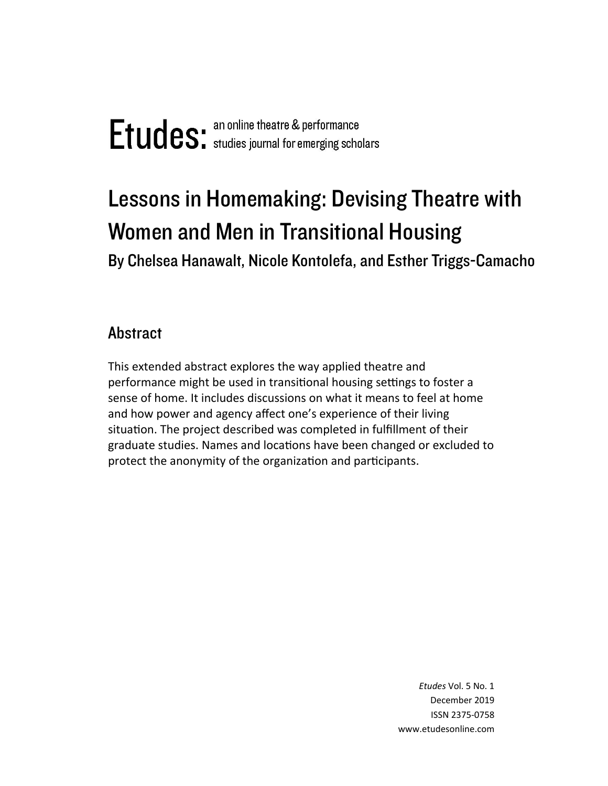# Lessons in Homemaking: Devising Theatre with Women and Men in Transitional Housing

By Chelsea Hanawalt, Nicole Kontolefa, and Esther Triggs-Camacho

## **Abstract**

This extended abstract explores the way applied theatre and performance might be used in transitional housing settings to foster a sense of home. It includes discussions on what it means to feel at home and how power and agency affect one's experience of their living situation. The project described was completed in fulfillment of their graduate studies. Names and locations have been changed or excluded to protect the anonymity of the organization and participants.

> *Etudes* Vol. 5 No. 1 December 2019 ISSN 2375‐0758 www.etudesonline.com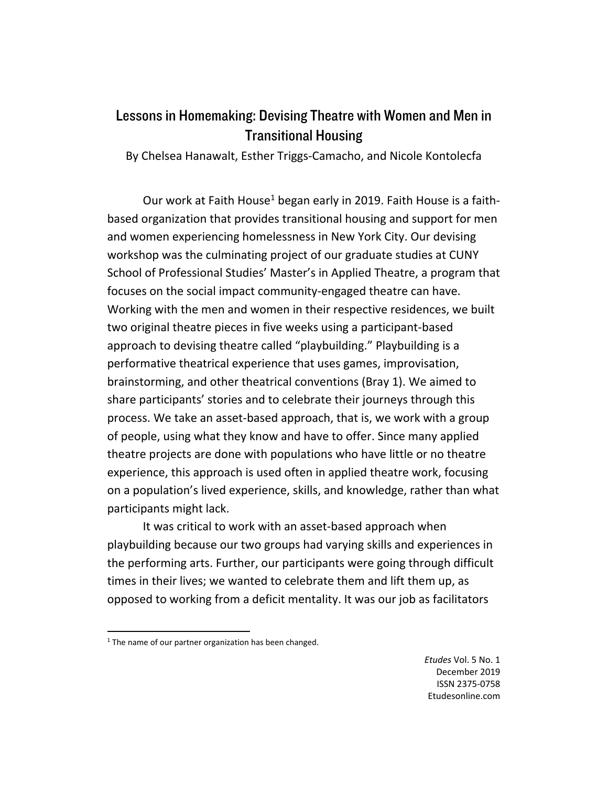## Lessons in Homemaking: Devising Theatre with Women and Men in Transitional Housing

By Chelsea Hanawalt, Esther Triggs‐Camacho, and Nicole Kontolecfa

Our work at Faith House<sup>1</sup> began early in 2019. Faith House is a faithbased organization that provides transitional housing and support for men and women experiencing homelessness in New York City. Our devising workshop was the culminating project of our graduate studies at CUNY School of Professional Studies' Master's in Applied Theatre, a program that focuses on the social impact community‐engaged theatre can have. Working with the men and women in their respective residences, we built two original theatre pieces in five weeks using a participant‐based approach to devising theatre called "playbuilding." Playbuilding is a performative theatrical experience that uses games, improvisation, brainstorming, and other theatrical conventions (Bray 1). We aimed to share participants' stories and to celebrate their journeys through this process. We take an asset‐based approach, that is, we work with a group of people, using what they know and have to offer. Since many applied theatre projects are done with populations who have little or no theatre experience, this approach is used often in applied theatre work, focusing on a population's lived experience, skills, and knowledge, rather than what participants might lack.

It was critical to work with an asset‐based approach when playbuilding because our two groups had varying skills and experiences in the performing arts. Further, our participants were going through difficult times in their lives; we wanted to celebrate them and lift them up, as opposed to working from a deficit mentality. It was our job as facilitators

 $1$  The name of our partner organization has been changed.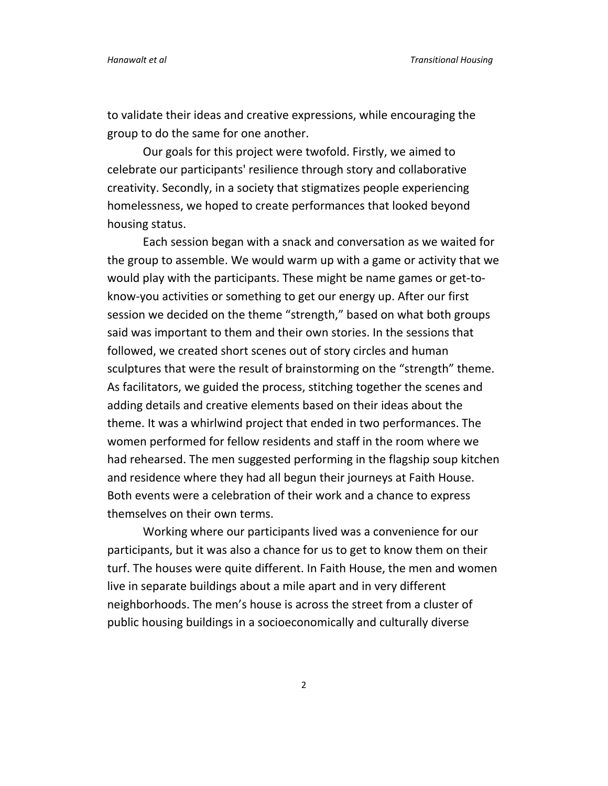to validate their ideas and creative expressions, while encouraging the group to do the same for one another.

Our goals for this project were twofold. Firstly, we aimed to celebrate our participants' resilience through story and collaborative creativity. Secondly, in a society that stigmatizes people experiencing homelessness, we hoped to create performances that looked beyond housing status.

Each session began with a snack and conversation as we waited for the group to assemble. We would warm up with a game or activity that we would play with the participants. These might be name games or get‐to‐ know‐you activities or something to get our energy up. After our first session we decided on the theme "strength," based on what both groups said was important to them and their own stories. In the sessions that followed, we created short scenes out of story circles and human sculptures that were the result of brainstorming on the "strength" theme. As facilitators, we guided the process, stitching together the scenes and adding details and creative elements based on their ideas about the theme. It was a whirlwind project that ended in two performances. The women performed for fellow residents and staff in the room where we had rehearsed. The men suggested performing in the flagship soup kitchen and residence where they had all begun their journeys at Faith House. Both events were a celebration of their work and a chance to express themselves on their own terms.

Working where our participants lived was a convenience for our participants, but it was also a chance for us to get to know them on their turf. The houses were quite different. In Faith House, the men and women live in separate buildings about a mile apart and in very different neighborhoods. The men's house is across the street from a cluster of public housing buildings in a socioeconomically and culturally diverse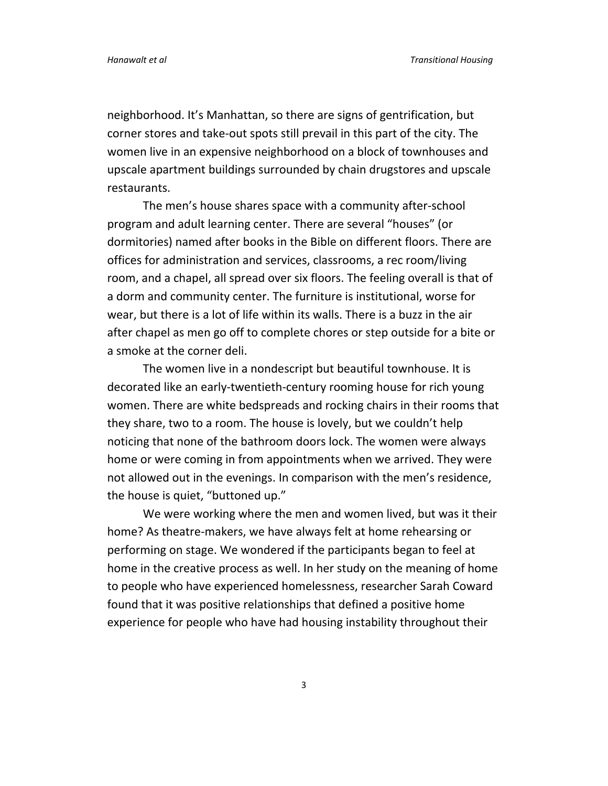neighborhood. It's Manhattan, so there are signs of gentrification, but corner stores and take‐out spots still prevail in this part of the city. The women live in an expensive neighborhood on a block of townhouses and upscale apartment buildings surrounded by chain drugstores and upscale restaurants.

The men's house shares space with a community after‐school program and adult learning center. There are several "houses" (or dormitories) named after books in the Bible on different floors. There are offices for administration and services, classrooms, a rec room/living room, and a chapel, all spread over six floors. The feeling overall is that of a dorm and community center. The furniture is institutional, worse for wear, but there is a lot of life within its walls. There is a buzz in the air after chapel as men go off to complete chores or step outside for a bite or a smoke at the corner deli.

The women live in a nondescript but beautiful townhouse. It is decorated like an early‐twentieth‐century rooming house for rich young women. There are white bedspreads and rocking chairs in their rooms that they share, two to a room. The house is lovely, but we couldn't help noticing that none of the bathroom doors lock. The women were always home or were coming in from appointments when we arrived. They were not allowed out in the evenings. In comparison with the men's residence, the house is quiet, "buttoned up."

We were working where the men and women lived, but was it their home? As theatre‐makers, we have always felt at home rehearsing or performing on stage. We wondered if the participants began to feel at home in the creative process as well. In her study on the meaning of home to people who have experienced homelessness, researcher Sarah Coward found that it was positive relationships that defined a positive home experience for people who have had housing instability throughout their

3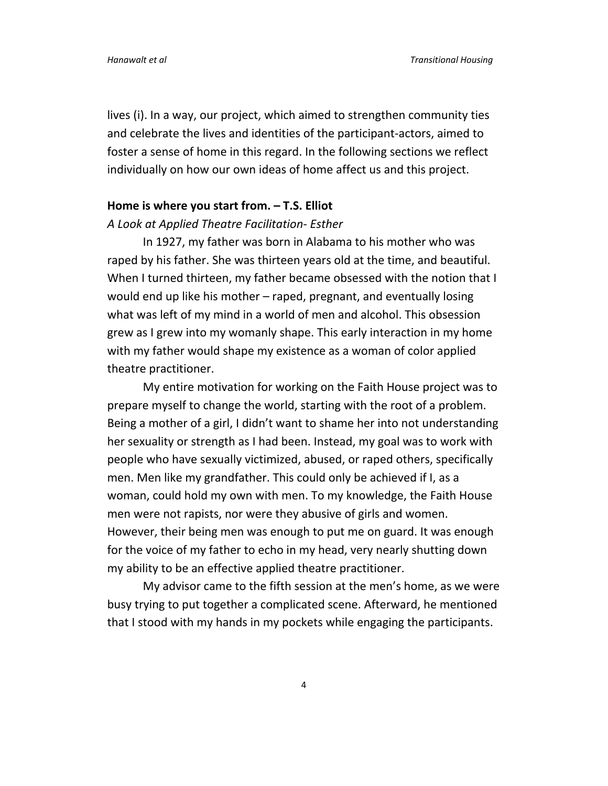lives (i). In a way, our project, which aimed to strengthen community ties and celebrate the lives and identities of the participant‐actors, aimed to foster a sense of home in this regard. In the following sections we reflect individually on how our own ideas of home affect us and this project.

#### **Home is where you start from. – T.S. Elliot**

#### *A Look at Applied Theatre Facilitation‐ Esther*

In 1927, my father was born in Alabama to his mother who was raped by his father. She was thirteen years old at the time, and beautiful. When I turned thirteen, my father became obsessed with the notion that I would end up like his mother – raped, pregnant, and eventually losing what was left of my mind in a world of men and alcohol. This obsession grew as I grew into my womanly shape. This early interaction in my home with my father would shape my existence as a woman of color applied theatre practitioner.

My entire motivation for working on the Faith House project was to prepare myself to change the world, starting with the root of a problem. Being a mother of a girl, I didn't want to shame her into not understanding her sexuality or strength as I had been. Instead, my goal was to work with people who have sexually victimized, abused, or raped others, specifically men. Men like my grandfather. This could only be achieved if I, as a woman, could hold my own with men. To my knowledge, the Faith House men were not rapists, nor were they abusive of girls and women. However, their being men was enough to put me on guard. It was enough for the voice of my father to echo in my head, very nearly shutting down my ability to be an effective applied theatre practitioner.

My advisor came to the fifth session at the men's home, as we were busy trying to put together a complicated scene. Afterward, he mentioned that I stood with my hands in my pockets while engaging the participants.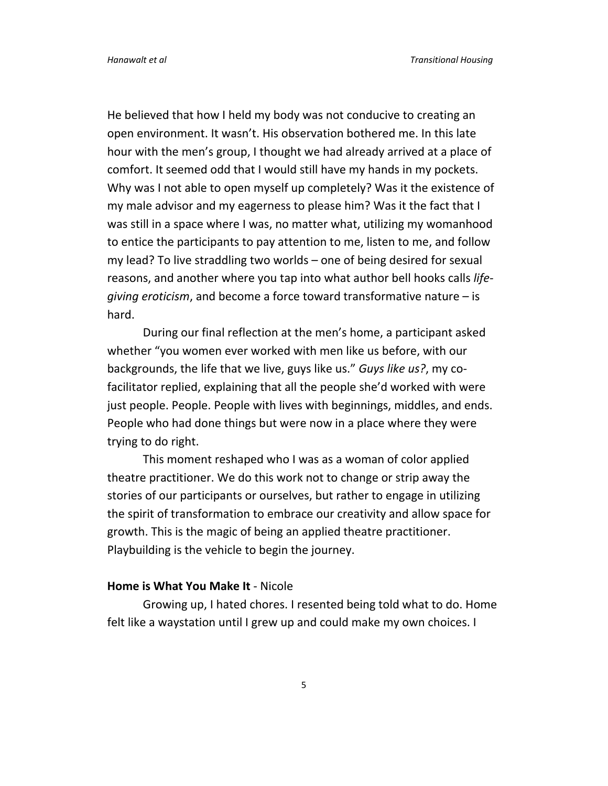He believed that how I held my body was not conducive to creating an open environment. It wasn't. His observation bothered me. In this late hour with the men's group, I thought we had already arrived at a place of comfort. It seemed odd that I would still have my hands in my pockets. Why was I not able to open myself up completely? Was it the existence of my male advisor and my eagerness to please him? Was it the fact that I was still in a space where I was, no matter what, utilizing my womanhood to entice the participants to pay attention to me, listen to me, and follow my lead? To live straddling two worlds – one of being desired for sexual reasons, and another where you tap into what author bell hooks calls *life‐ giving eroticism*, and become a force toward transformative nature – is hard.

During our final reflection at the men's home, a participant asked whether "you women ever worked with men like us before, with our backgrounds, the life that we live, guys like us." *Guys like us?*, my co‐ facilitator replied, explaining that all the people she'd worked with were just people. People. People with lives with beginnings, middles, and ends. People who had done things but were now in a place where they were trying to do right.

This moment reshaped who I was as a woman of color applied theatre practitioner. We do this work not to change or strip away the stories of our participants or ourselves, but rather to engage in utilizing the spirit of transformation to embrace our creativity and allow space for growth. This is the magic of being an applied theatre practitioner. Playbuilding is the vehicle to begin the journey.

#### **Home is What You Make It** ‐ Nicole

Growing up, I hated chores. I resented being told what to do. Home felt like a waystation until I grew up and could make my own choices. I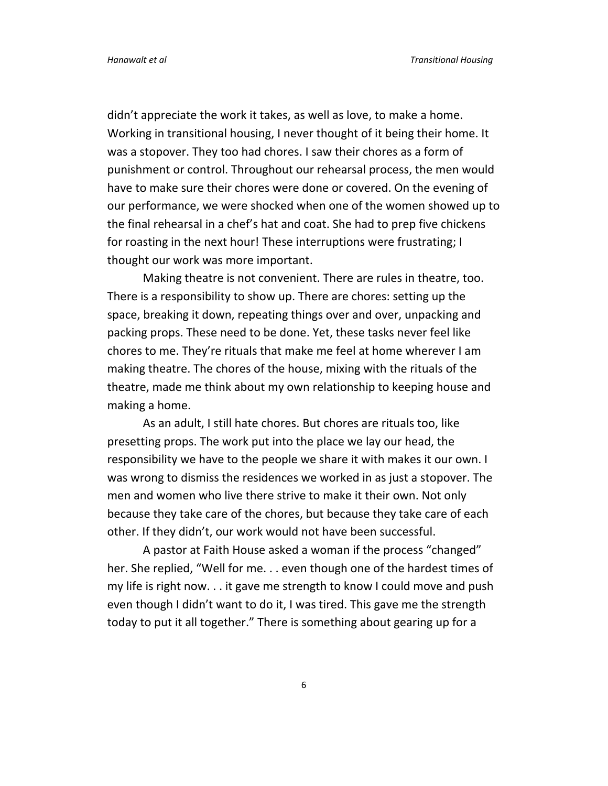didn't appreciate the work it takes, as well as love, to make a home. Working in transitional housing, I never thought of it being their home. It was a stopover. They too had chores. I saw their chores as a form of punishment or control. Throughout our rehearsal process, the men would have to make sure their chores were done or covered. On the evening of our performance, we were shocked when one of the women showed up to the final rehearsal in a chef's hat and coat. She had to prep five chickens for roasting in the next hour! These interruptions were frustrating; I thought our work was more important.

Making theatre is not convenient. There are rules in theatre, too. There is a responsibility to show up. There are chores: setting up the space, breaking it down, repeating things over and over, unpacking and packing props. These need to be done. Yet, these tasks never feel like chores to me. They're rituals that make me feel at home wherever I am making theatre. The chores of the house, mixing with the rituals of the theatre, made me think about my own relationship to keeping house and making a home.

As an adult, I still hate chores. But chores are rituals too, like presetting props. The work put into the place we lay our head, the responsibility we have to the people we share it with makes it our own. I was wrong to dismiss the residences we worked in as just a stopover. The men and women who live there strive to make it their own. Not only because they take care of the chores, but because they take care of each other. If they didn't, our work would not have been successful.

A pastor at Faith House asked a woman if the process "changed" her. She replied, "Well for me. . . even though one of the hardest times of my life is right now. . . it gave me strength to know I could move and push even though I didn't want to do it, I was tired. This gave me the strength today to put it all together." There is something about gearing up for a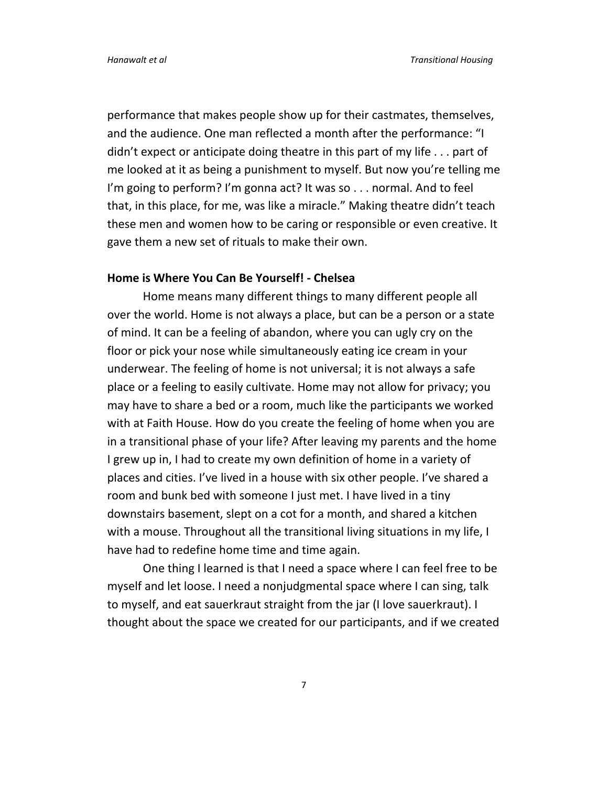performance that makes people show up for their castmates, themselves, and the audience. One man reflected a month after the performance: "I didn't expect or anticipate doing theatre in this part of my life . . . part of me looked at it as being a punishment to myself. But now you're telling me I'm going to perform? I'm gonna act? It was so . . . normal. And to feel that, in this place, for me, was like a miracle." Making theatre didn't teach these men and women how to be caring or responsible or even creative. It gave them a new set of rituals to make their own.

#### **Home is Where You Can Be Yourself! ‐ Chelsea**

Home means many different things to many different people all over the world. Home is not always a place, but can be a person or a state of mind. It can be a feeling of abandon, where you can ugly cry on the floor or pick your nose while simultaneously eating ice cream in your underwear. The feeling of home is not universal; it is not always a safe place or a feeling to easily cultivate. Home may not allow for privacy; you may have to share a bed or a room, much like the participants we worked with at Faith House. How do you create the feeling of home when you are in a transitional phase of your life? After leaving my parents and the home I grew up in, I had to create my own definition of home in a variety of places and cities. I've lived in a house with six other people. I've shared a room and bunk bed with someone I just met. I have lived in a tiny downstairs basement, slept on a cot for a month, and shared a kitchen with a mouse. Throughout all the transitional living situations in my life, I have had to redefine home time and time again.

One thing I learned is that I need a space where I can feel free to be myself and let loose. I need a nonjudgmental space where I can sing, talk to myself, and eat sauerkraut straight from the jar (I love sauerkraut). I thought about the space we created for our participants, and if we created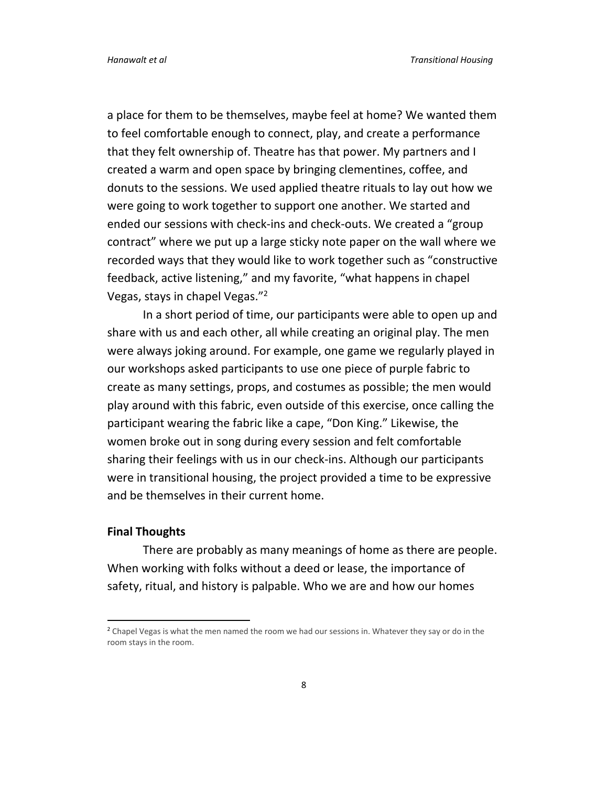a place for them to be themselves, maybe feel at home? We wanted them to feel comfortable enough to connect, play, and create a performance that they felt ownership of. Theatre has that power. My partners and I created a warm and open space by bringing clementines, coffee, and donuts to the sessions. We used applied theatre rituals to lay out how we were going to work together to support one another. We started and ended our sessions with check‐ins and check‐outs. We created a "group contract" where we put up a large sticky note paper on the wall where we recorded ways that they would like to work together such as "constructive feedback, active listening," and my favorite, "what happens in chapel Vegas, stays in chapel Vegas."<sup>2</sup>

In a short period of time, our participants were able to open up and share with us and each other, all while creating an original play. The men were always joking around. For example, one game we regularly played in our workshops asked participants to use one piece of purple fabric to create as many settings, props, and costumes as possible; the men would play around with this fabric, even outside of this exercise, once calling the participant wearing the fabric like a cape, "Don King." Likewise, the women broke out in song during every session and felt comfortable sharing their feelings with us in our check‐ins. Although our participants were in transitional housing, the project provided a time to be expressive and be themselves in their current home.

#### **Final Thoughts**

There are probably as many meanings of home as there are people. When working with folks without a deed or lease, the importance of safety, ritual, and history is palpable. Who we are and how our homes

<sup>&</sup>lt;sup>2</sup> Chapel Vegas is what the men named the room we had our sessions in. Whatever they say or do in the room stays in the room.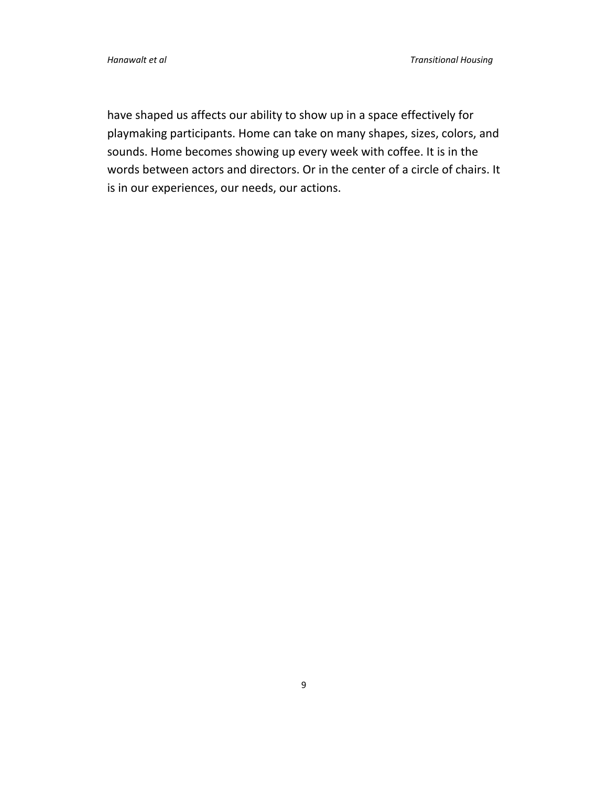have shaped us affects our ability to show up in a space effectively for playmaking participants. Home can take on many shapes, sizes, colors, and sounds. Home becomes showing up every week with coffee. It is in the words between actors and directors. Or in the center of a circle of chairs. It is in our experiences, our needs, our actions.